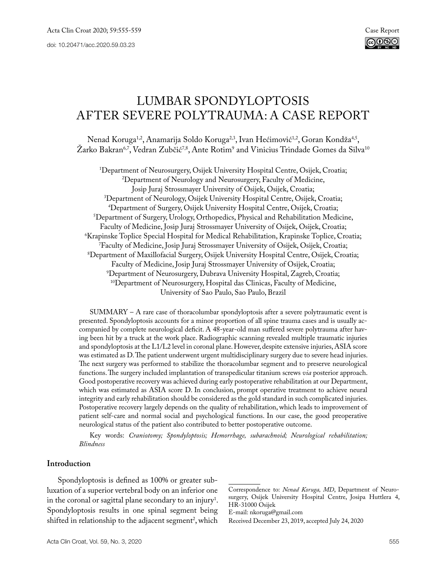# Lumbar spondyloptosis after severe polytrauma: a case report

Nenad Koruga<sup>1,2</sup>, Anamarija Soldo Koruga<sup>2,3</sup>, Ivan Hećimović<sup>1,2</sup>, Goran Kondža<sup>4,5</sup>, Zarko Bakran<sup>6,7</sup>, Vedran Zubčić<sup>7,8</sup>, Ante Rotim<sup>9</sup> and Vinicius Trindade Gomes da Silva<sup>n</sup>

1 Department of Neurosurgery, Osijek University Hospital Centre, Osijek, Croatia; 2 <sup>2</sup>Department of Neurology and Neurosurgery, Faculty of Medicine, Josip Juraj Strossmayer University of Osijek, Osijek, Croatia; Josip Juraj Strossmayer University of Osijek, Osijek, Croatia; 3 Department of Neurology, Osijek University Hospital Centre, Osijek, Croatia; 4 Department of Surgery, Osijek University Hospital Centre, Osijek, Croatia; 5 Department of Surgery, Urology, Orthopedics, Physical and Rehabilitation Medicine, Faculty of Medicine, Josip Juraj Strossmayer University of Osijek, Osijek, Croatia; 6 Krapinske Toplice Special Hospital for Medical Rehabilitation, Krapinske Toplice, Croatia; 7 Faculty of Medicine, Josip Juraj Strossmayer University of Osijek, Osijek, Croatia; 8 Department of Maxillofacial Surgery, Osijek University Hospital Centre, Osijek, Croatia; Faculty of Medicine, Josip Juraj Strossmayer University of Osijek, Croatia; 9 <sup>10</sup>Department of Neurosurgery, Hospital das Clinicas, Faculty of Medicine, University of Sao Paulo, Sao Paulo, Brazil

 $SUMMARY - A$  rare case of thoracolumbar spondyloptosis after a severe polytraumatic event is presented. Spondyloptosis accounts for a minor proportion of all spine trauma cases and is usually accompanied by complete neurological deficit. A 48-year-old man suffered severe polytrauma after having been hit by a truck at the work place. Radiographic scanning revealed multiple traumatic injuries and spondyloptosis at the L1/L2 level in coronal plane. However, despite extensive injuries, ASIA score was estimated as D. The patient underwent urgent multidisciplinary surgery due to severe head injuries. The next surgery was performed to stabilize the thoracolumbar segment and to preserve neurological functions. The surgery included implantation of transpedicular titanium screws *via* posterior approach. Good postoperative recovery was achieved during early postoperative rehabilitation at our Department, which was estimated as ASIA score D. In conclusion, prompt operative treatment to achieve neural integrity and early rehabilitation should be considered as the gold standard in such complicated injuries. Postoperative recovery largely depends on the quality of rehabilitation, which leads to improvement of patient self-care and normal social and psychological functions. In our case, the good preoperative neurological status of the patient also contributed to better postoperative outcome.

Key words: *Craniotomy; Spondyloptosis; Hemorrhage, subarachnoid; Neurological rehabilitation; Blindness*

## **Introduction**

Spondyloptosis is defined as 100% or greater subluxation of a superior vertebral body on an inferior one in the coronal or sagittal plane secondary to an injury<sup>1</sup>. Spondyloptosis results in one spinal segment being shifted in relationship to the adjacent segment<sup>2</sup>, which

Correspondence to: *Nenad Koruga, MD*, Department of Neurosurgery, Osijek University Hospital Centre, Josipa Huttlera 4, HR-31000 Osijek

E-mail: nkoruga@gmail.com

Received December 23, 2019, accepted July 24, 2020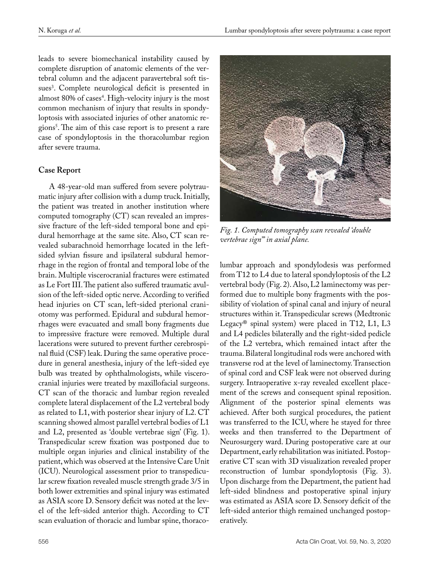leads to severe biomechanical instability caused by complete disruption of anatomic elements of the vertebral column and the adjacent paravertebral soft tissues<sup>3</sup>. Complete neurological deficit is presented in almost 80% of cases<sup>4</sup>. High-velocity injury is the most common mechanism of injury that results in spondyloptosis with associated injuries of other anatomic regions<sup>3</sup>. The aim of this case report is to present a rare case of spondyloptosis in the thoracolumbar region after severe trauma.

## **Case Report**

A 48-year-old man suffered from severe polytraumatic injury after collision with a dump truck. Initially, the patient was treated in another institution where computed tomography (CT) scan revealed an impressive fracture of the left-sided temporal bone and epidural hemorrhage at the same site. Also, CT scan revealed subarachnoid hemorrhage located in the leftsided sylvian fissure and ipsilateral subdural hemorrhage in the region of frontal and temporal lobe of the brain. Multiple viscerocranial fractures were estimated as Le Fort III. The patient also suffered traumatic avulsion of the left-sided optic nerve. According to verified head injuries on CT scan, left-sided pterional craniotomy was performed. Epidural and subdural hemorrhages were evacuated and small bony fragments due to impressive fracture were removed. Multiple dural lacerations were sutured to prevent further cerebrospinal fluid (CSF) leak. During the same operative procedure in general anesthesia, injury of the left-sided eye bulb was treated by ophthalmologists, while viscerocranial injuries were treated by maxillofacial surgeons. CT scan of the thoracic and lumbar region revealed complete lateral displacement of the L2 vertebral body as related to L1, with posterior shear injury of L2. CT scanning showed almost parallel vertebral bodies of L1 and L2, presented as 'double vertebrae sign' (Fig. 1). Transpedicular screw fixation was postponed due to multiple organ injuries and clinical instability of the patient, which was observed at the Intensive Care Unit (ICU). Neurological assessment prior to transpedicular screw fixation revealed muscle strength grade 3/5 in both lower extremities and spinal injury was estimated as ASIA score D. Sensory deficit was noted at the level of the left-sided anterior thigh. According to CT scan evaluation of thoracic and lumbar spine, thoraco-



*Fig. 1. Computed tomography scan revealed 'double vertebrae sign'" in axial plane.*

lumbar approach and spondylodesis was performed from T12 to L4 due to lateral spondyloptosis of the L2 vertebral body (Fig. 2). Also, L2 laminectomy was performed due to multiple bony fragments with the possibility of violation of spinal canal and injury of neural structures within it. Transpedicular screws (Medtronic Legacy® spinal system) were placed in T12, L1, L3 and L4 pedicles bilaterally and the right-sided pedicle of the L2 vertebra, which remained intact after the trauma. Bilateral longitudinal rods were anchored with transverse rod at the level of laminectomy. Transection of spinal cord and CSF leak were not observed during surgery. Intraoperative x-ray revealed excellent placement of the screws and consequent spinal reposition. Alignment of the posterior spinal elements was achieved. After both surgical procedures, the patient was transferred to the ICU, where he stayed for three weeks and then transferred to the Department of Neurosurgery ward. During postoperative care at our Department, early rehabilitation was initiated. Postoperative CT scan with 3D visualization revealed proper reconstruction of lumbar spondyloptosis (Fig. 3). Upon discharge from the Department, the patient had left-sided blindness and postoperative spinal injury was estimated as ASIA score D. Sensory deficit of the left-sided anterior thigh remained unchanged postoperatively.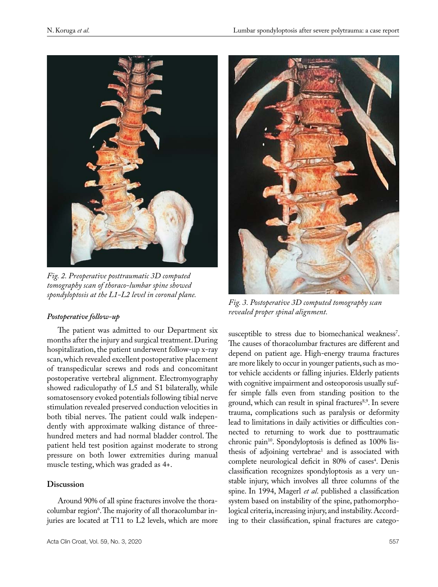

*Fig. 2. Preoperative posttraumatic 3D computed tomography scan of thoraco-lumbar spine showed spondyloptosis at the L1-L2 level in coronal plane.*

## *Postoperative follow-up*

The patient was admitted to our Department six months after the injury and surgical treatment. During hospitalization, the patient underwent follow-up x-ray scan, which revealed excellent postoperative placement of transpedicular screws and rods and concomitant postoperative vertebral alignment. Electromyography showed radiculopathy of L5 and S1 bilaterally, while somatosensory evoked potentials following tibial nerve stimulation revealed preserved conduction velocities in both tibial nerves. The patient could walk independently with approximate walking distance of threehundred meters and had normal bladder control. The patient held test position against moderate to strong pressure on both lower extremities during manual muscle testing, which was graded as 4+.

## **Discussion**

Around 90% of all spine fractures involve the thoracolumbar region6 . The majority of all thoracolumbar injuries are located at T11 to L2 levels, which are more



*Fig. 3. Postoperative 3D computed tomography scan revealed proper spinal alignment.*

susceptible to stress due to biomechanical weakness<sup>7</sup>. The causes of thoracolumbar fractures are different and depend on patient age. High-energy trauma fractures are more likely to occur in younger patients, such as motor vehicle accidents or falling injuries. Elderly patients with cognitive impairment and osteoporosis usually suffer simple falls even from standing position to the ground, which can result in spinal fractures<sup>8,9</sup>. In severe trauma, complications such as paralysis or deformity lead to limitations in daily activities or difficulties connected to returning to work due to posttraumatic chronic pain<sup>10</sup>. Spondyloptosis is defined as 100% listhesis of adjoining vertebrae<sup>1</sup> and is associated with complete neurological deficit in 80% of cases<sup>4</sup>. Denis classification recognizes spondyloptosis as a very unstable injury, which involves all three columns of the spine. In 1994, Magerl *et al*. published a classification system based on instability of the spine, pathomorphological criteria, increasing injury, and instability. According to their classification, spinal fractures are catego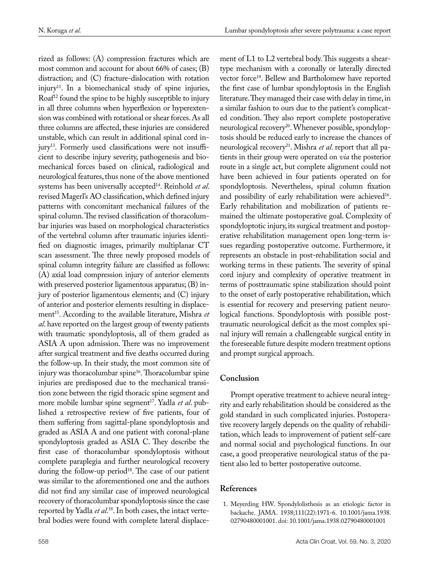rized as follows: (A) compression fractures which are most common and account for about 66% of cases; (B) distraction; and (C) fracture-dislocation with rotation injury<sup>11</sup>. In a biomechanical study of spine injuries, Roaf<sup>12</sup> found the spine to be highly susceptible to injury in all three columns when hyperflexion or hyperextension was combined with rotational or shear forces. As all three columns are affected, these injuries are considered unstable, which can result in additional spinal cord injury<sup>13</sup>. Formerly used classifications were not insufficient to describe injury severity, pathogenesis and biomechanical forces based on clinical, radiological and neurological features, thus none of the above mentioned systems has been universally accepted14. Reinhold *et al*. revised Magerl's AO classification, which defined injury patterns with concomitant mechanical failures of the spinal column. The revised classification of thoracolumbar injuries was based on morphological characteristics of the vertebral column after traumatic injuries identified on diagnostic images, primarily multiplanar CT scan assessment. The three newly proposed models of spinal column integrity failure are classified as follows: (A) axial load compression injury of anterior elements with preserved posterior ligamentous apparatus; (B) injury of posterior ligamentous elements; and (C) injury of anterior and posterior elements resulting in displacement<sup>15</sup>. According to the available literature, Mishra *et al*. have reported on the largest group of twenty patients with traumatic spondyloptosis, all of them graded as ASIA A upon admission. There was no improvement after surgical treatment and five deaths occurred during the follow-up. In their study, the most common site of injury was thoracolumbar spine<sup>16</sup>. Thoracolumbar spine injuries are predisposed due to the mechanical transition zone between the rigid thoracic spine segment and more mobile lumbar spine segment<sup>17</sup>. Yadla et al. published a retrospective review of five patients, four of them suffering from sagittal-plane spondyloptosis and graded as ASIA A and one patient with coronal-plane spondyloptosis graded as ASIA C. They describe the first case of thoracolumbar spondyloptosis without complete paraplegia and further neurological recovery during the follow-up period<sup>18</sup>. The case of our patient was similar to the aforementioned one and the authors did not find any similar case of improved neurological recovery of thoracolumbar spondyloptosis since the case reported by Yadla *et al*. 18. In both cases, the intact vertebral bodies were found with complete lateral displacement of L1 to L2 vertebral body. This suggests a sheartype mechanism with a coronally or laterally directed vector force<sup>19</sup>. Bellew and Bartholomew have reported the first case of lumbar spondyloptosis in the English literature. They managed their case with delay in time, in a similar fashion to ours due to the patient's complicated condition. They also report complete postoperative neurological recovery<sup>20</sup>. Whenever possible, spondyloptosis should be reduced early to increase the chances of neurological recovery<sup>21</sup>. Mishra *et al*. report that all patients in their group were operated on *via* the posterior route in a single act, but complete alignment could not have been achieved in four patients operated on for spondyloptosis. Nevertheless, spinal column fixation and possibility of early rehabilitation were achieved<sup>16</sup>. Early rehabilitation and mobilization of patients remained the ultimate postoperative goal. Complexity of spondyloptotic injury, its surgical treatment and postoperative rehabilitation management open long-term issues regarding postoperative outcome. Furthermore, it represents an obstacle in post-rehabilitation social and working terms in these patients. The severity of spinal cord injury and complexity of operative treatment in terms of posttraumatic spine stabilization should point to the onset of early postoperative rehabilitation, which is essential for recovery and preserving patient neurological functions. Spondyloptosis with possible posttraumatic neurological deficit as the most complex spinal injury will remain a challengeable surgical entity in the foreseeable future despite modern treatment options and prompt surgical approach.

# **Conclusion**

Prompt operative treatment to achieve neural integrity and early rehabilitation should be considered as the gold standard in such complicated injuries. Postoperative recovery largely depends on the quality of rehabilitation, which leads to improvement of patient self-care and normal social and psychological functions. In our case, a good preoperative neurological status of the patient also led to better postoperative outcome.

# **References**

1. Meyerding HW. Spondylolisthesis as an etiologic factor in backache. JAMA. 1938;111(22):1971-6. 10.1001/jama.1938. 02790480001001. doi: 10.1001/jama.1938.02790480001001